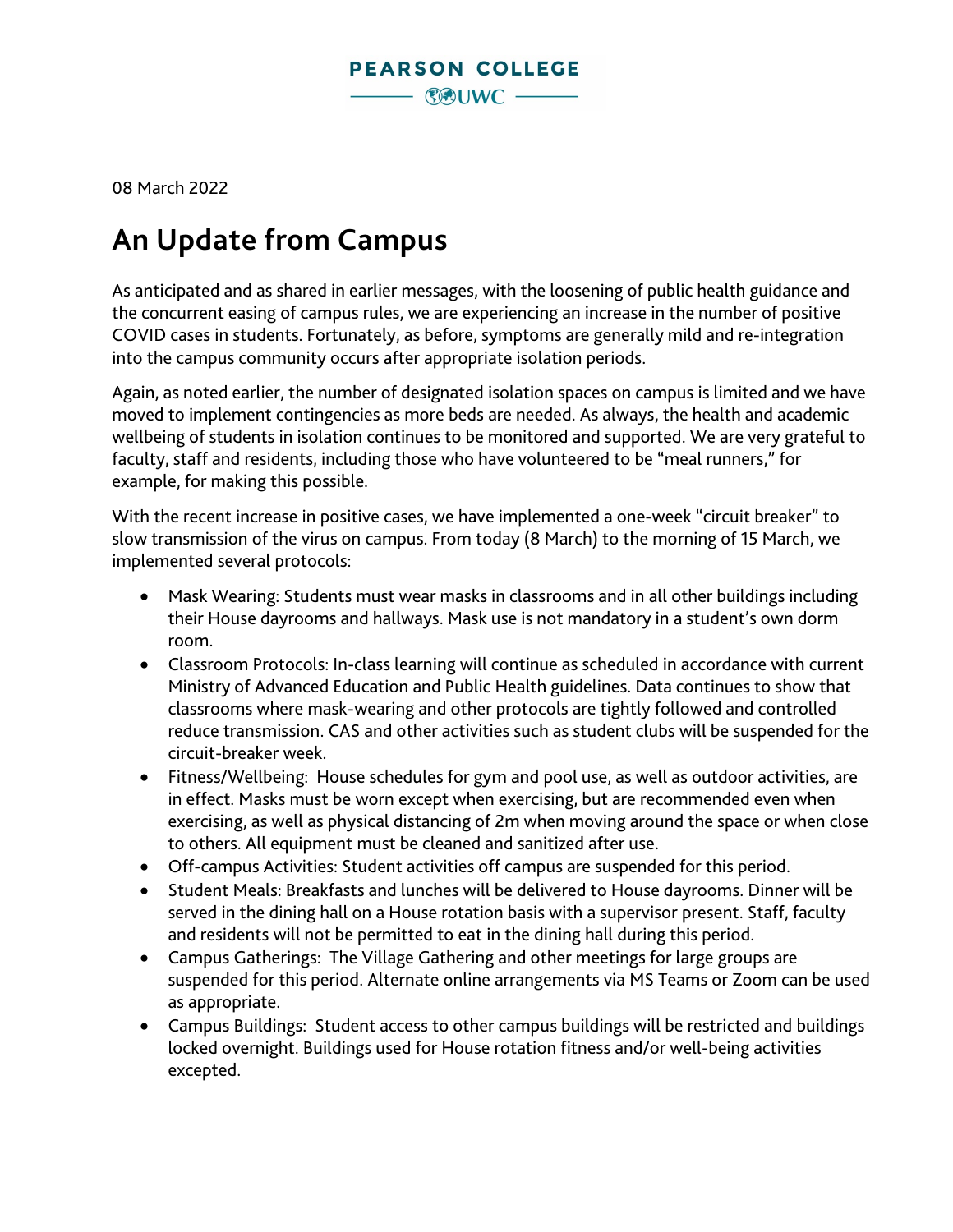

08 March 2022

## **An Update from Campus**

As anticipated and as shared in earlier messages, with the loosening of public health guidance and the concurrent easing of campus rules, we are experiencing an increase in the number of positive COVID cases in students. Fortunately, as before, symptoms are generally mild and re-integration into the campus community occurs after appropriate isolation periods.

Again, as noted earlier, the number of designated isolation spaces on campus is limited and we have moved to implement contingencies as more beds are needed. As always, the health and academic wellbeing of students in isolation continues to be monitored and supported. We are very grateful to faculty, staff and residents, including those who have volunteered to be "meal runners," for example, for making this possible.

With the recent increase in positive cases, we have implemented a one-week "circuit breaker" to slow transmission of the virus on campus. From today (8 March) to the morning of 15 March, we implemented several protocols:

- Mask Wearing: Students must wear masks in classrooms and in all other buildings including their House dayrooms and hallways. Mask use is not mandatory in a student's own dorm room.
- Classroom Protocols: In-class learning will continue as scheduled in accordance with current Ministry of Advanced Education and Public Health guidelines. Data continues to show that classrooms where mask-wearing and other protocols are tightly followed and controlled reduce transmission. CAS and other activities such as student clubs will be suspended for the circuit-breaker week.
- Fitness/Wellbeing: House schedules for gym and pool use, as well as outdoor activities, are in effect. Masks must be worn except when exercising, but are recommended even when exercising, as well as physical distancing of 2m when moving around the space or when close to others. All equipment must be cleaned and sanitized after use.
- Off-campus Activities: Student activities off campus are suspended for this period.
- Student Meals: Breakfasts and lunches will be delivered to House dayrooms. Dinner will be served in the dining hall on a House rotation basis with a supervisor present. Staff, faculty and residents will not be permitted to eat in the dining hall during this period.
- Campus Gatherings: The Village Gathering and other meetings for large groups are suspended for this period. Alternate online arrangements via MS Teams or Zoom can be used as appropriate.
- Campus Buildings: Student access to other campus buildings will be restricted and buildings locked overnight. Buildings used for House rotation fitness and/or well-being activities excepted.